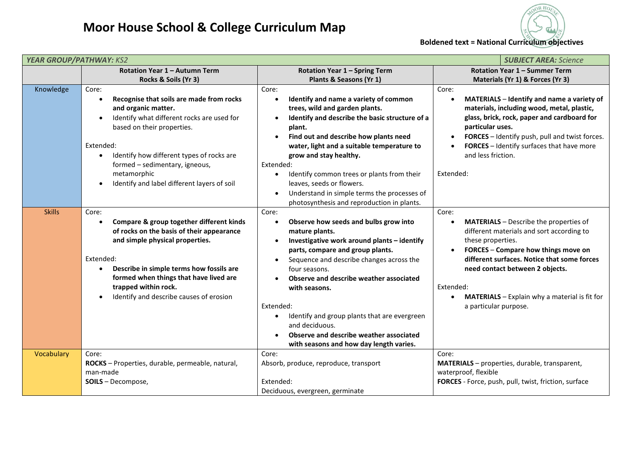



| <b>YEAR GROUP/PATHWAY: KS2</b><br><b>SUBJECT AREA: Science</b> |                                                                                                                                                                                                                                                                                                                                                       |                                                                                                                                                                                                                                                                                                                                                                                                                                                                                                                                 |                                                                                                                                                                                                                                                                                                                                                              |  |
|----------------------------------------------------------------|-------------------------------------------------------------------------------------------------------------------------------------------------------------------------------------------------------------------------------------------------------------------------------------------------------------------------------------------------------|---------------------------------------------------------------------------------------------------------------------------------------------------------------------------------------------------------------------------------------------------------------------------------------------------------------------------------------------------------------------------------------------------------------------------------------------------------------------------------------------------------------------------------|--------------------------------------------------------------------------------------------------------------------------------------------------------------------------------------------------------------------------------------------------------------------------------------------------------------------------------------------------------------|--|
|                                                                | Rotation Year 1 - Autumn Term                                                                                                                                                                                                                                                                                                                         | <b>Rotation Year 1 - Spring Term</b>                                                                                                                                                                                                                                                                                                                                                                                                                                                                                            | <b>Rotation Year 1 - Summer Term</b>                                                                                                                                                                                                                                                                                                                         |  |
|                                                                | Rocks & Soils (Yr 3)                                                                                                                                                                                                                                                                                                                                  | Plants & Seasons (Yr 1)                                                                                                                                                                                                                                                                                                                                                                                                                                                                                                         | Materials (Yr 1) & Forces (Yr 3)                                                                                                                                                                                                                                                                                                                             |  |
| Knowledge                                                      | Core:<br>Recognise that soils are made from rocks<br>$\bullet$<br>and organic matter.<br>Identify what different rocks are used for<br>based on their properties.<br>Extended:<br>Identify how different types of rocks are<br>$\bullet$<br>formed - sedimentary, igneous,<br>metamorphic<br>Identify and label different layers of soil<br>$\bullet$ | Core:<br>Identify and name a variety of common<br>$\bullet$<br>trees, wild and garden plants.<br>Identify and describe the basic structure of a<br>$\bullet$<br>plant.<br>Find out and describe how plants need<br>$\bullet$<br>water, light and a suitable temperature to<br>grow and stay healthy.<br>Extended:<br>Identify common trees or plants from their<br>$\bullet$<br>leaves, seeds or flowers.<br>Understand in simple terms the processes of<br>$\bullet$<br>photosynthesis and reproduction in plants.             | Core:<br>MATERIALS - Identify and name a variety of<br>materials, including wood, metal, plastic,<br>glass, brick, rock, paper and cardboard for<br>particular uses.<br>FORCES - Identify push, pull and twist forces.<br>$\bullet$<br>FORCES - Identify surfaces that have more<br>and less friction.<br>Extended:                                          |  |
| <b>Skills</b>                                                  | Core:<br>Compare & group together different kinds<br>$\bullet$<br>of rocks on the basis of their appearance<br>and simple physical properties.<br>Extended:<br>Describe in simple terms how fossils are<br>$\bullet$<br>formed when things that have lived are<br>trapped within rock.<br>Identify and describe causes of erosion                     | Core:<br>Observe how seeds and bulbs grow into<br>$\bullet$<br>mature plants.<br>Investigative work around plants - identify<br>$\bullet$<br>parts, compare and group plants.<br>Sequence and describe changes across the<br>$\bullet$<br>four seasons.<br>Observe and describe weather associated<br>$\bullet$<br>with seasons.<br>Extended:<br>Identify and group plants that are evergreen<br>$\bullet$<br>and deciduous.<br>Observe and describe weather associated<br>$\bullet$<br>with seasons and how day length varies. | Core:<br><b>MATERIALS</b> - Describe the properties of<br>$\bullet$<br>different materials and sort according to<br>these properties.<br>FORCES - Compare how things move on<br>different surfaces. Notice that some forces<br>need contact between 2 objects.<br>Extended:<br><b>MATERIALS</b> - Explain why a material is fit for<br>a particular purpose. |  |
| Vocabulary                                                     | Core:<br>ROCKS - Properties, durable, permeable, natural,<br>man-made<br>SOILS - Decompose,                                                                                                                                                                                                                                                           | Core:<br>Absorb, produce, reproduce, transport<br>Extended:<br>Deciduous, evergreen, germinate                                                                                                                                                                                                                                                                                                                                                                                                                                  | Core:<br>MATERIALS - properties, durable, transparent,<br>waterproof, flexible<br>FORCES - Force, push, pull, twist, friction, surface                                                                                                                                                                                                                       |  |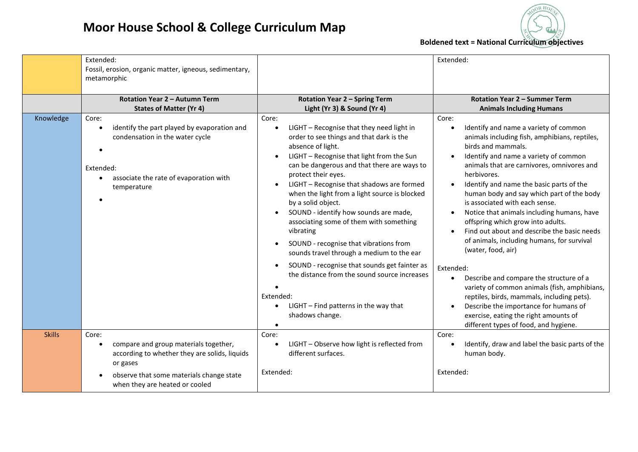



|               | Extended:<br>Fossil, erosion, organic matter, igneous, sedimentary,<br>metamorphic                                                                                   |                                                                                                                                                                                                                                                                                                                                                                                                                                                                                                                                                                                                                                                                                                                                                                                                                        | Extended:                                                                                                                                                                                                                                                                                                                                                                                                                                                                                                                                                                                                                                                                                                                                                                                                                                     |
|---------------|----------------------------------------------------------------------------------------------------------------------------------------------------------------------|------------------------------------------------------------------------------------------------------------------------------------------------------------------------------------------------------------------------------------------------------------------------------------------------------------------------------------------------------------------------------------------------------------------------------------------------------------------------------------------------------------------------------------------------------------------------------------------------------------------------------------------------------------------------------------------------------------------------------------------------------------------------------------------------------------------------|-----------------------------------------------------------------------------------------------------------------------------------------------------------------------------------------------------------------------------------------------------------------------------------------------------------------------------------------------------------------------------------------------------------------------------------------------------------------------------------------------------------------------------------------------------------------------------------------------------------------------------------------------------------------------------------------------------------------------------------------------------------------------------------------------------------------------------------------------|
|               | Rotation Year 2 - Autumn Term<br><b>States of Matter (Yr 4)</b>                                                                                                      | <b>Rotation Year 2 - Spring Term</b><br>Light (Yr 3) & Sound (Yr 4)                                                                                                                                                                                                                                                                                                                                                                                                                                                                                                                                                                                                                                                                                                                                                    | Rotation Year 2 - Summer Term<br><b>Animals Including Humans</b>                                                                                                                                                                                                                                                                                                                                                                                                                                                                                                                                                                                                                                                                                                                                                                              |
| Knowledge     | Core:<br>identify the part played by evaporation and<br>condensation in the water cycle<br>Extended:<br>associate the rate of evaporation with<br>temperature        | Core:<br>LIGHT - Recognise that they need light in<br>$\bullet$<br>order to see things and that dark is the<br>absence of light.<br>LIGHT - Recognise that light from the Sun<br>$\bullet$<br>can be dangerous and that there are ways to<br>protect their eyes.<br>LIGHT - Recognise that shadows are formed<br>$\bullet$<br>when the light from a light source is blocked<br>by a solid object.<br>SOUND - identify how sounds are made,<br>$\bullet$<br>associating some of them with something<br>vibrating<br>SOUND - recognise that vibrations from<br>$\bullet$<br>sounds travel through a medium to the ear<br>SOUND - recognise that sounds get fainter as<br>$\bullet$<br>the distance from the sound source increases<br>Extended:<br>LIGHT - Find patterns in the way that<br>$\bullet$<br>shadows change. | Core:<br>Identify and name a variety of common<br>animals including fish, amphibians, reptiles,<br>birds and mammals.<br>Identify and name a variety of common<br>animals that are carnivores, omnivores and<br>herbivores.<br>Identify and name the basic parts of the<br>human body and say which part of the body<br>is associated with each sense.<br>Notice that animals including humans, have<br>offspring which grow into adults.<br>Find out about and describe the basic needs<br>of animals, including humans, for survival<br>(water, food, air)<br>Extended:<br>Describe and compare the structure of a<br>variety of common animals (fish, amphibians,<br>reptiles, birds, mammals, including pets).<br>Describe the importance for humans of<br>exercise, eating the right amounts of<br>different types of food, and hygiene. |
| <b>Skills</b> | Core:<br>compare and group materials together,<br>$\bullet$<br>according to whether they are solids, liquids<br>or gases<br>observe that some materials change state | Core:<br>LIGHT - Observe how light is reflected from<br>$\bullet$<br>different surfaces.<br>Extended:                                                                                                                                                                                                                                                                                                                                                                                                                                                                                                                                                                                                                                                                                                                  | Core:<br>Identify, draw and label the basic parts of the<br>human body.<br>Extended:                                                                                                                                                                                                                                                                                                                                                                                                                                                                                                                                                                                                                                                                                                                                                          |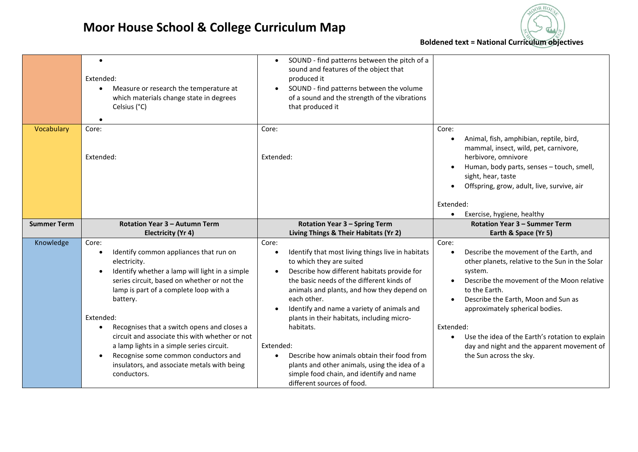## **Moor House School & College Curriculum Map**



|                    | $\bullet$<br>Extended:<br>Measure or research the temperature at<br>$\bullet$<br>which materials change state in degrees<br>Celsius (°C)<br>$\bullet$                                                                                                                                                                                                                                                                                                                                                                          | SOUND - find patterns between the pitch of a<br>$\bullet$<br>sound and features of the object that<br>produced it<br>SOUND - find patterns between the volume<br>$\bullet$<br>of a sound and the strength of the vibrations<br>that produced it                                                                                                                                                                                                                                                                                                                           |                                                                                                                                                                                                                                                                                                                                                                                                  |
|--------------------|--------------------------------------------------------------------------------------------------------------------------------------------------------------------------------------------------------------------------------------------------------------------------------------------------------------------------------------------------------------------------------------------------------------------------------------------------------------------------------------------------------------------------------|---------------------------------------------------------------------------------------------------------------------------------------------------------------------------------------------------------------------------------------------------------------------------------------------------------------------------------------------------------------------------------------------------------------------------------------------------------------------------------------------------------------------------------------------------------------------------|--------------------------------------------------------------------------------------------------------------------------------------------------------------------------------------------------------------------------------------------------------------------------------------------------------------------------------------------------------------------------------------------------|
| Vocabulary         | Core:<br>Extended:                                                                                                                                                                                                                                                                                                                                                                                                                                                                                                             | Core:<br>Extended:                                                                                                                                                                                                                                                                                                                                                                                                                                                                                                                                                        | Core:<br>Animal, fish, amphibian, reptile, bird,<br>mammal, insect, wild, pet, carnivore,<br>herbivore, omnivore<br>Human, body parts, senses - touch, smell,<br>sight, hear, taste<br>Offspring, grow, adult, live, survive, air<br>$\bullet$                                                                                                                                                   |
|                    |                                                                                                                                                                                                                                                                                                                                                                                                                                                                                                                                |                                                                                                                                                                                                                                                                                                                                                                                                                                                                                                                                                                           | Extended:<br>Exercise, hygiene, healthy                                                                                                                                                                                                                                                                                                                                                          |
| <b>Summer Term</b> | Rotation Year 3 - Autumn Term                                                                                                                                                                                                                                                                                                                                                                                                                                                                                                  | <b>Rotation Year 3 - Spring Term</b>                                                                                                                                                                                                                                                                                                                                                                                                                                                                                                                                      | Rotation Year 3 - Summer Term                                                                                                                                                                                                                                                                                                                                                                    |
|                    | <b>Electricity (Yr 4)</b>                                                                                                                                                                                                                                                                                                                                                                                                                                                                                                      | Living Things & Their Habitats (Yr 2)                                                                                                                                                                                                                                                                                                                                                                                                                                                                                                                                     | Earth & Space (Yr 5)                                                                                                                                                                                                                                                                                                                                                                             |
| Knowledge          | Core:<br>Identify common appliances that run on<br>electricity.<br>Identify whether a lamp will light in a simple<br>$\bullet$<br>series circuit, based on whether or not the<br>lamp is part of a complete loop with a<br>battery.<br>Extended:<br>Recognises that a switch opens and closes a<br>$\bullet$<br>circuit and associate this with whether or not<br>a lamp lights in a simple series circuit.<br>Recognise some common conductors and<br>$\bullet$<br>insulators, and associate metals with being<br>conductors. | Core:<br>Identify that most living things live in habitats<br>to which they are suited<br>Describe how different habitats provide for<br>$\bullet$<br>the basic needs of the different kinds of<br>animals and plants, and how they depend on<br>each other.<br>Identify and name a variety of animals and<br>plants in their habitats, including micro-<br>habitats.<br>Extended:<br>Describe how animals obtain their food from<br>$\bullet$<br>plants and other animals, using the idea of a<br>simple food chain, and identify and name<br>different sources of food. | Core:<br>Describe the movement of the Earth, and<br>other planets, relative to the Sun in the Solar<br>system.<br>Describe the movement of the Moon relative<br>to the Earth.<br>Describe the Earth, Moon and Sun as<br>approximately spherical bodies.<br>Extended:<br>Use the idea of the Earth's rotation to explain<br>day and night and the apparent movement of<br>the Sun across the sky. |